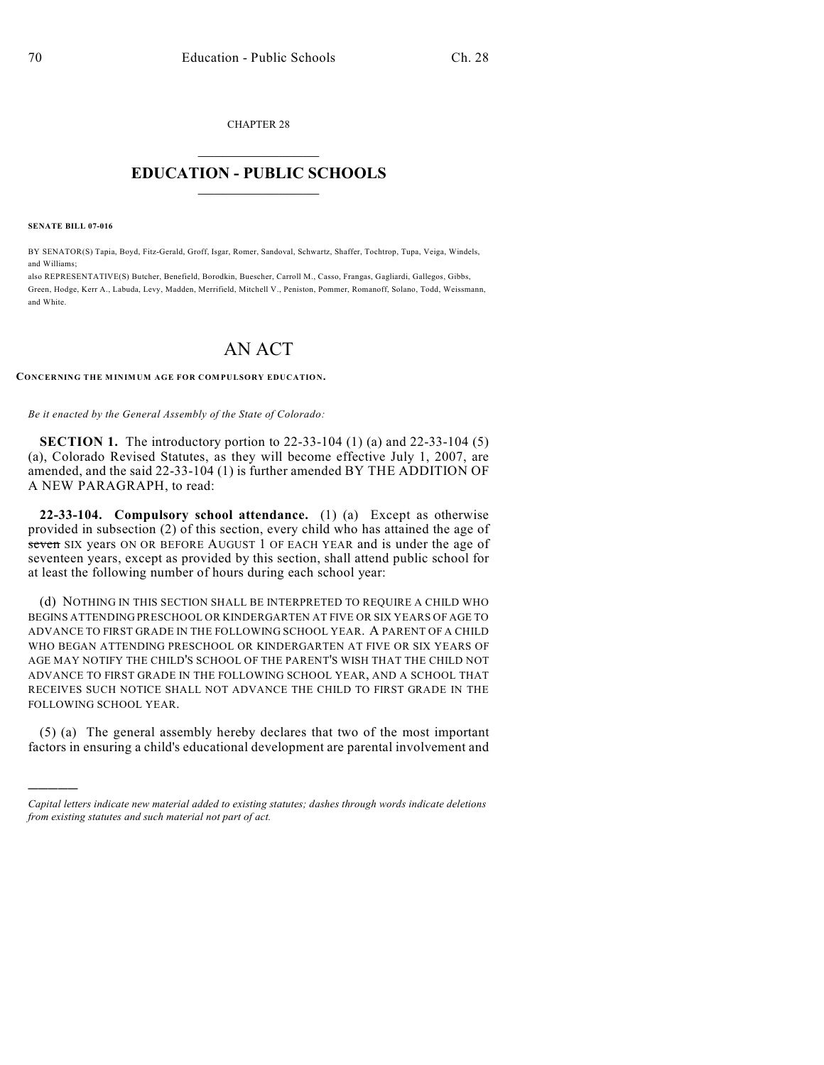CHAPTER 28  $\mathcal{L}_\text{max}$  . The set of the set of the set of the set of the set of the set of the set of the set of the set of the set of the set of the set of the set of the set of the set of the set of the set of the set of the set

## **EDUCATION - PUBLIC SCHOOLS**  $\_$   $\_$   $\_$   $\_$   $\_$   $\_$   $\_$   $\_$   $\_$

**SENATE BILL 07-016**

)))))

BY SENATOR(S) Tapia, Boyd, Fitz-Gerald, Groff, Isgar, Romer, Sandoval, Schwartz, Shaffer, Tochtrop, Tupa, Veiga, Windels, and Williams;

also REPRESENTATIVE(S) Butcher, Benefield, Borodkin, Buescher, Carroll M., Casso, Frangas, Gagliardi, Gallegos, Gibbs, Green, Hodge, Kerr A., Labuda, Levy, Madden, Merrifield, Mitchell V., Peniston, Pommer, Romanoff, Solano, Todd, Weissmann, and White.

## AN ACT

## **CONCERNING THE MINIMUM AGE FOR COMPULSORY EDUCATION.**

*Be it enacted by the General Assembly of the State of Colorado:*

**SECTION 1.** The introductory portion to 22-33-104 (1) (a) and 22-33-104 (5) (a), Colorado Revised Statutes, as they will become effective July 1, 2007, are amended, and the said 22-33-104 (1) is further amended BY THE ADDITION OF A NEW PARAGRAPH, to read:

**22-33-104. Compulsory school attendance.** (1) (a) Except as otherwise provided in subsection (2) of this section, every child who has attained the age of seven SIX years ON OR BEFORE AUGUST 1 OF EACH YEAR and is under the age of seventeen years, except as provided by this section, shall attend public school for at least the following number of hours during each school year:

(d) NOTHING IN THIS SECTION SHALL BE INTERPRETED TO REQUIRE A CHILD WHO BEGINS ATTENDING PRESCHOOL OR KINDERGARTEN AT FIVE OR SIX YEARS OF AGE TO ADVANCE TO FIRST GRADE IN THE FOLLOWING SCHOOL YEAR. A PARENT OF A CHILD WHO BEGAN ATTENDING PRESCHOOL OR KINDERGARTEN AT FIVE OR SIX YEARS OF AGE MAY NOTIFY THE CHILD'S SCHOOL OF THE PARENT'S WISH THAT THE CHILD NOT ADVANCE TO FIRST GRADE IN THE FOLLOWING SCHOOL YEAR, AND A SCHOOL THAT RECEIVES SUCH NOTICE SHALL NOT ADVANCE THE CHILD TO FIRST GRADE IN THE FOLLOWING SCHOOL YEAR.

(5) (a) The general assembly hereby declares that two of the most important factors in ensuring a child's educational development are parental involvement and

*Capital letters indicate new material added to existing statutes; dashes through words indicate deletions from existing statutes and such material not part of act.*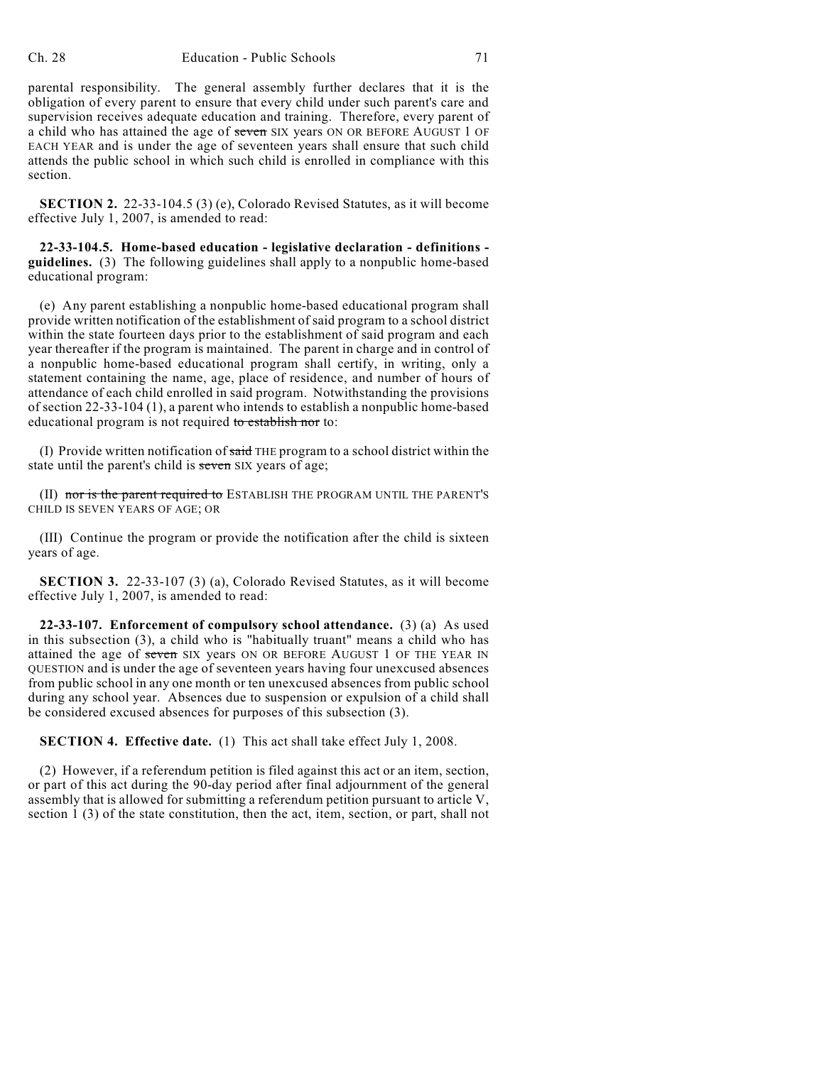parental responsibility. The general assembly further declares that it is the obligation of every parent to ensure that every child under such parent's care and supervision receives adequate education and training. Therefore, every parent of a child who has attained the age of seven SIX years ON OR BEFORE AUGUST 1 OF EACH YEAR and is under the age of seventeen years shall ensure that such child attends the public school in which such child is enrolled in compliance with this section.

**SECTION 2.** 22-33-104.5 (3) (e), Colorado Revised Statutes, as it will become effective July 1, 2007, is amended to read:

**22-33-104.5. Home-based education - legislative declaration - definitions guidelines.** (3) The following guidelines shall apply to a nonpublic home-based educational program:

(e) Any parent establishing a nonpublic home-based educational program shall provide written notification of the establishment of said program to a school district within the state fourteen days prior to the establishment of said program and each year thereafter if the program is maintained. The parent in charge and in control of a nonpublic home-based educational program shall certify, in writing, only a statement containing the name, age, place of residence, and number of hours of attendance of each child enrolled in said program. Notwithstanding the provisions of section 22-33-104 (1), a parent who intends to establish a nonpublic home-based educational program is not required to establish nor to:

(I) Provide written notification of  $s \nmid d$  THE program to a school district within the state until the parent's child is seven SIX years of age;

(II) nor is the parent required to ESTABLISH THE PROGRAM UNTIL THE PARENT'S CHILD IS SEVEN YEARS OF AGE; OR

(III) Continue the program or provide the notification after the child is sixteen years of age.

**SECTION 3.** 22-33-107 (3) (a), Colorado Revised Statutes, as it will become effective July 1, 2007, is amended to read:

**22-33-107. Enforcement of compulsory school attendance.** (3) (a) As used in this subsection (3), a child who is "habitually truant" means a child who has attained the age of seven SIX years ON OR BEFORE AUGUST 1 OF THE YEAR IN QUESTION and is under the age of seventeen years having four unexcused absences from public school in any one month or ten unexcused absences from public school during any school year. Absences due to suspension or expulsion of a child shall be considered excused absences for purposes of this subsection (3).

**SECTION 4. Effective date.** (1) This act shall take effect July 1, 2008.

(2) However, if a referendum petition is filed against this act or an item, section, or part of this act during the 90-day period after final adjournment of the general assembly that is allowed for submitting a referendum petition pursuant to article V, section 1 (3) of the state constitution, then the act, item, section, or part, shall not